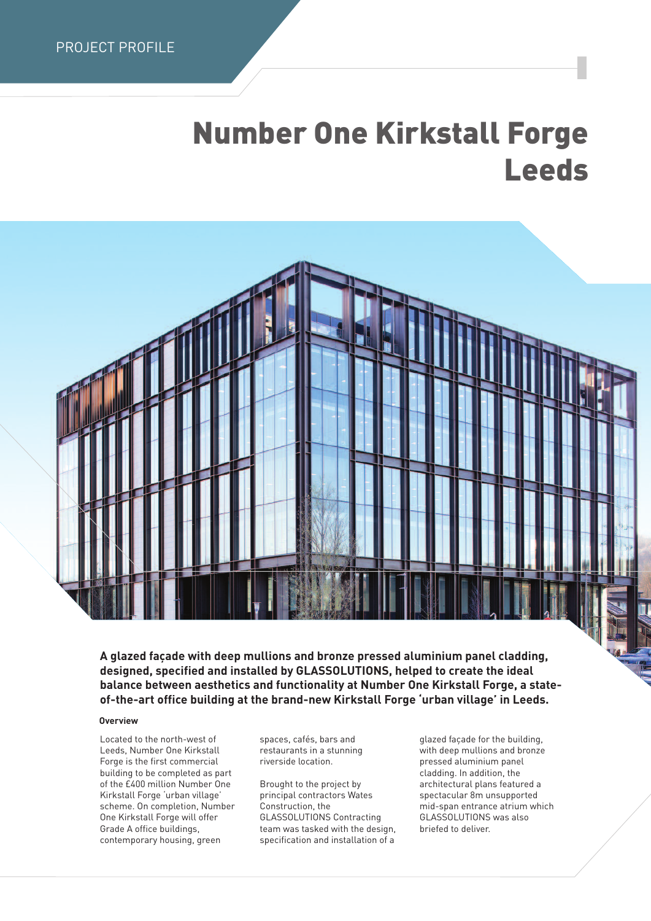## **Number One Kirkstall Forge Leeds**



**A glazed façade with deep mullions and bronze pressed aluminium panel cladding, designed, specified and installed by GLASSOLUTIONS, helped to create the ideal balance between aesthetics and functionality at Number One Kirkstall Forge, a stateof-the-art office building at the brand-new Kirkstall Forge 'urban village' in Leeds.**

## **Overview**

Located to the north-west of Leeds, Number One Kirkstall Forge is the first commercial building to be completed as part of the £400 million Number One Kirkstall Forge 'urban village' scheme. On completion, Number One Kirkstall Forge will offer Grade A office buildings, contemporary housing, green

spaces, cafés, bars and restaurants in a stunning riverside location.

Brought to the project by principal contractors Wates Construction, the GLASSOLUTIONS Contracting team was tasked with the design, specification and installation of a

glazed façade for the building, with deep mullions and bronze pressed aluminium panel cladding. In addition, the architectural plans featured a spectacular 8m unsupported mid-span entrance atrium which GLASSOLUTIONS was also briefed to deliver.